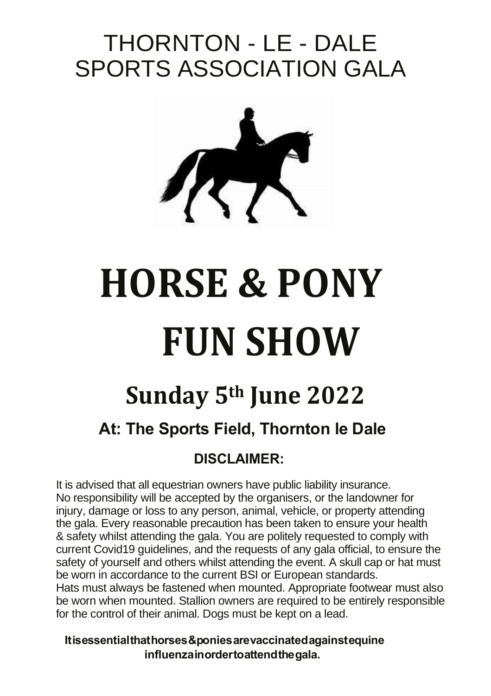# THORNTON - LE - DALE SPORTS ASSOCIATION GALA



# **HORSE & PONY FUN SHOW**

# **Sunday 5th June 2022**

# **At: The Sports Field, Thornton le Dale**

# **DISCLAIMER:**

 It is advised that all equestrian owners have public liability insurance. No responsibility will be accepted by the organisers, or the landowner for injury, damage or loss to any person, animal, vehicle, or property attending the gala. Every reasonable precaution has been taken to ensure your health & safety whilst attending the gala. You are politely requested to comply with current Covid19 guidelines, and the requests of any gala official, to ensure the safety of yourself and others whilst attending the event. A skull cap or hat must be worn in accordance to the current BSI or European standards. Hats must always be fastened when mounted. Appropriate footwear must also

be worn when mounted. Stallion owners are required to be entirely responsible for the control of their animal. Dogs must be kept on a lead.

**It is essential that horses & ponies are vaccinated against equine influenza in order to attend the gala.**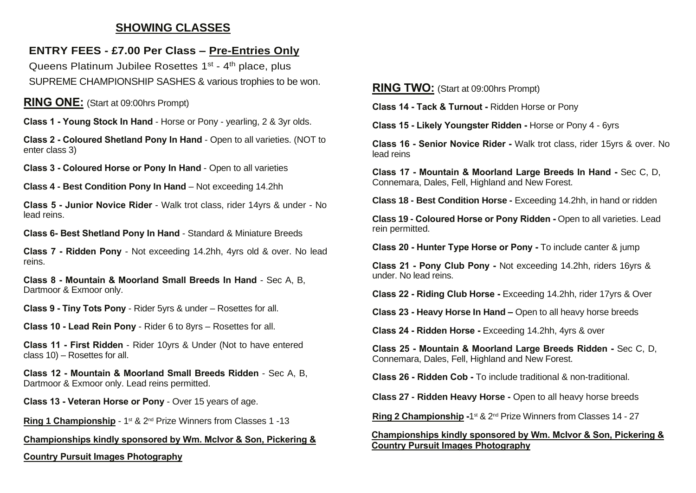# **SHOWING CLASSES**

## **ENTRY FEES - £7.00 Per Class – Pre-Entries Only**

Queens Platinum Jubilee Rosettes 1<sup>st</sup> - 4<sup>th</sup> place, plus SUPREME CHAMPIONSHIP SASHES & various trophies to be won.

#### **RING ONE:** (Start at 09:00hrs Prompt)

**Class 1 - Young Stock In Hand** - Horse or Pony - yearling, 2 & 3yr olds.

**Class 2 - Coloured Shetland Pony In Hand** - Open to all varieties. (NOT to enter class 3)

**Class 3 - Coloured Horse or Pony In Hand** - Open to all varieties

**Class 4 - Best Condition Pony In Hand** – Not exceeding 14.2hh

**Class 5 - Junior Novice Rider** - Walk trot class, rider 14yrs & under - No lead reins.

**Class 6- Best Shetland Pony In Hand** - Standard & Miniature Breeds

**Class 7 - Ridden Pony** - Not exceeding 14.2hh, 4yrs old & over. No lead reins.

**Class 8 - Mountain & Moorland Small Breeds In Hand** - Sec A, B, Dartmoor & Exmoor only.

**Class 9 - Tiny Tots Pony** - Rider 5yrs & under – Rosettes for all.

**Class 10 - Lead Rein Pony** - Rider 6 to 8yrs – Rosettes for all.

**Class 11 - First Ridden** - Rider 10yrs & Under (Not to have entered class 10) – Rosettes for all.

**Class 12 - Mountain & Moorland Small Breeds Ridden** - Sec A, B, Dartmoor & Exmoor only. Lead reins permitted.

**Class 13 - Veteran Horse or Pony** - Over 15 years of age.

Ring 1 Championship - 1st & 2<sup>nd</sup> Prize Winners from Classes 1 -13

#### **Championships kindly sponsored by Wm. McIvor & Son, Pickering &**

**Country Pursuit Images Photography**

#### **RING TWO:** (Start at 09:00hrs Prompt)

**Class 14 - Tack & Turnout -** Ridden Horse or Pony

**Class 15 - Likely Youngster Ridden -** Horse or Pony 4 - 6yrs

**Class 16 - Senior Novice Rider -** Walk trot class, rider 15yrs & over. No lead reins

**Class 17 - Mountain & Moorland Large Breeds In Hand -** Sec C, D, Connemara, Dales, Fell, Highland and New Forest.

**Class 18 - Best Condition Horse -** Exceeding 14.2hh, in hand or ridden

**Class 19 - Coloured Horse or Pony Ridden -** Open to all varieties. Lead rein permitted.

**Class 20 - Hunter Type Horse or Pony -** To include canter & jump

**Class 21 - Pony Club Pony -** Not exceeding 14.2hh, riders 16yrs & under. No lead reins.

**Class 22 - Riding Club Horse -** Exceeding 14.2hh, rider 17yrs & Over

**Class 23 - Heavy Horse In Hand –** Open to all heavy horse breeds

**Class 24 - Ridden Horse -** Exceeding 14.2hh, 4yrs & over

**Class 25 - Mountain & Moorland Large Breeds Ridden -** Sec C, D, Connemara, Dales, Fell, Highland and New Forest.

**Class 26 - Ridden Cob -** To include traditional & non-traditional.

**Class 27 - Ridden Heavy Horse -** Open to all heavy horse breeds

Ring 2 Championship -1<sup>st</sup> & 2<sup>nd</sup> Prize Winners from Classes 14 - 27

#### **Championships kindly sponsored by Wm. McIvor & Son, Pickering & Country Pursuit Images Photography**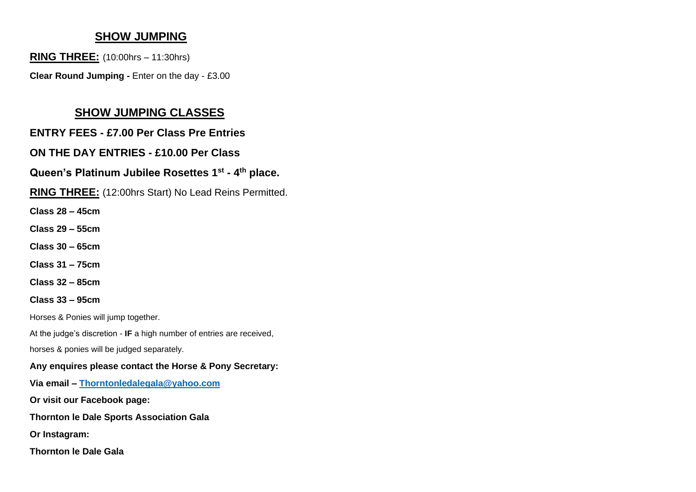# **SHOW JUMPING**

**RING THREE:** (10:00hrs – 11:30hrs)

**Clear Round Jumping -** Enter on the day - £3.00

# **SHOW JUMPING CLASSES**

# **ENTRY FEES - £7.00 Per Class Pre Entries**

# **ON THE DAY ENTRIES - £10.00 Per Class**

## **Queen's Platinum Jubilee Rosettes 1 st - 4 th place.**

**RING THREE:** (12:00hrs Start) No Lead Reins Permitted.

**Class 28 – 45cm** 

**Class 29 – 55cm**

**Class 30 – 65cm**

**Class 31 – 75cm** 

**Class 32 – 85cm**

**Class 33 – 95cm** 

Horses & Ponies will jump together.

At the judge's discretion - **IF** a high number of entries are received,

horses & ponies will be judged separately.

## **Any enquires please contact the Horse & Pony Secretary:**

**Via email – [Thorntonledalegala@yahoo.com](mailto:Thorntonledalegala@yahoo.com)**

**Or visit our Facebook page:** 

**Thornton le Dale Sports Association Gala**

**Or Instagram:** 

**Thornton le Dale Gala**